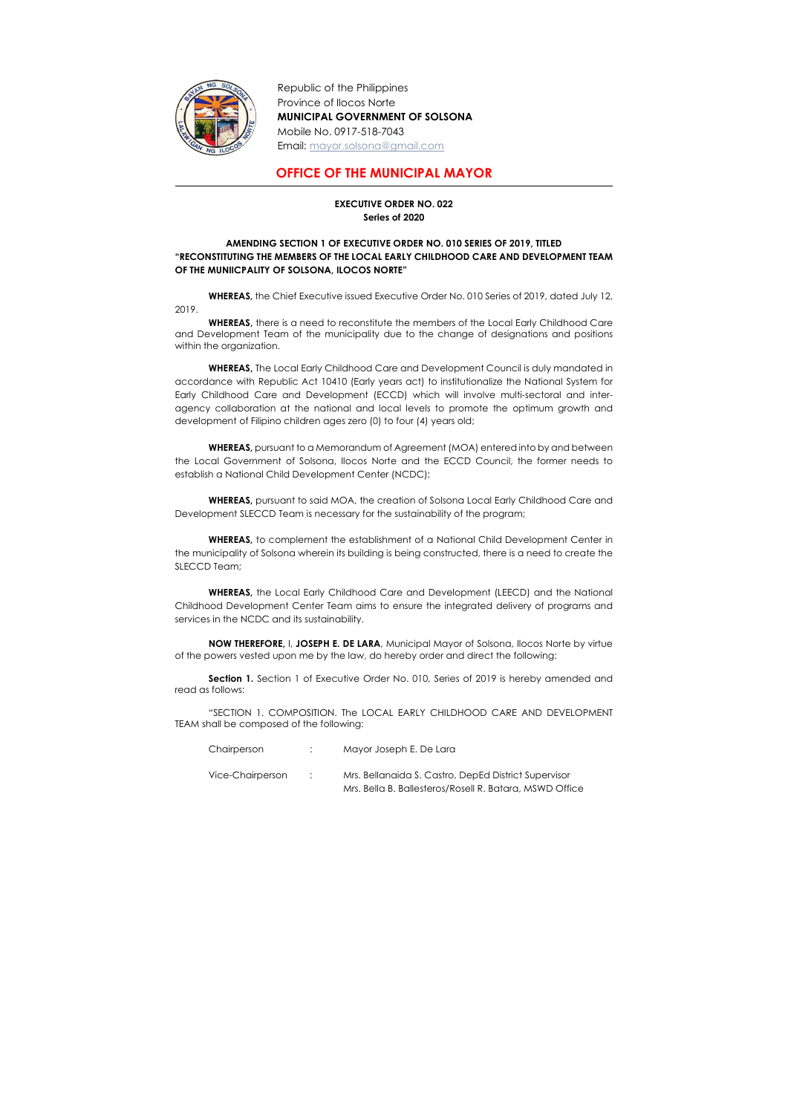

Republic of the Philippines Province of Ilocos Norte MUNICIPAL GOVERNMENT OF SOLSONA Mobile No. 0917-518-7043 Email: mayor.solsona@gmail.com

## OFFICE OF THE MUNICIPAL MAYOR

## EXECUTIVE ORDER NO. 022 Series of 2020

## AMENDING SECTION 1 OF EXECUTIVE ORDER NO. 010 SERIES OF 2019, TITLED "RECONSTITUTING THE MEMBERS OF THE LOCAL EARLY CHILDHOOD CARE AND DEVELOPMENT TEAM OF THE MUNIICPALITY OF SOLSONA, ILOCOS NORTE"

 WHEREAS, the Chief Executive issued Executive Order No. 010 Series of 2019, dated July 12, 2019.

WHEREAS, there is a need to reconstitute the members of the Local Early Childhood Care and Development Team of the municipality due to the change of designations and positions within the organization.

WHEREAS, The Local Early Childhood Care and Development Council is duly mandated in accordance with Republic Act 10410 (Early years act) to institutionalize the National System for Early Childhood Care and Development (ECCD) which will involve multi-sectoral and interagency collaboration at the national and local levels to promote the optimum growth and development of Filipino children ages zero (0) to four (4) years old;

Section 1. Section 1 of Executive Order No. 010, Series of 2019 is hereby amended and read as follows:

| Chairperson      |                            | Mayor Joseph E. De Lara                                 |
|------------------|----------------------------|---------------------------------------------------------|
| Vice-Chairperson | $\mathcal{L}(\mathcal{A})$ | Mrs. Bellanaida S. Castro, DepEd District Supervisor    |
|                  |                            | Mrs. Bella B. Ballesteros/Rosell R. Batara, MSWD Office |

 WHEREAS, pursuant to a Memorandum of Agreement (MOA) entered into by and between the Local Government of Solsona, Ilocos Norte and the ECCD Council, the former needs to establish a National Child Development Center (NCDC);

 WHEREAS, pursuant to said MOA, the creation of Solsona Local Early Childhood Care and Development SLECCD Team is necessary for the sustainability of the program;

 WHEREAS, to complement the establishment of a National Child Development Center in the municipality of Solsona wherein its building is being constructed, there is a need to create the SLECCD Team;

 WHEREAS, the Local Early Childhood Care and Development (LEECD) and the National Childhood Development Center Team aims to ensure the integrated delivery of programs and services in the NCDC and its sustainability.

NOW THEREFORE, I, JOSEPH E. DE LARA, Municipal Mayor of Solsona, Ilocos Norte by virtue of the powers vested upon me by the law, do hereby order and direct the following:

"SECTION 1. COMPOSITION. The LOCAL EARLY CHILDHOOD CARE AND DEVELOPMENT TEAM shall be composed of the following: